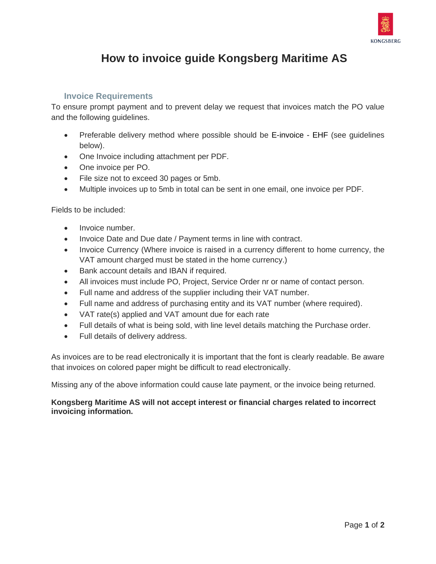

## **How to invoice guide Kongsberg Maritime AS**

## **Invoice Requirements**

To ensure prompt payment and to prevent delay we request that invoices match the PO value and the following guidelines.

- Preferable delivery method where possible should be E-invoice EHF (see quidelines below).
- One Invoice including attachment per PDF.
- One invoice per PO.
- File size not to exceed 30 pages or 5mb.
- Multiple invoices up to 5mb in total can be sent in one email, one invoice per PDF.

Fields to be included:

- Invoice number.
- Invoice Date and Due date / Payment terms in line with contract.
- Invoice Currency (Where invoice is raised in a currency different to home currency, the VAT amount charged must be stated in the home currency.)
- Bank account details and IBAN if required.
- All invoices must include PO, Project, Service Order nr or name of contact person.
- Full name and address of the supplier including their VAT number.
- Full name and address of purchasing entity and its VAT number (where required).
- VAT rate(s) applied and VAT amount due for each rate
- Full details of what is being sold, with line level details matching the Purchase order.
- Full details of delivery address.

As invoices are to be read electronically it is important that the font is clearly readable. Be aware that invoices on colored paper might be difficult to read electronically.

Missing any of the above information could cause late payment, or the invoice being returned.

## **Kongsberg Maritime AS will not accept interest or financial charges related to incorrect invoicing information.**